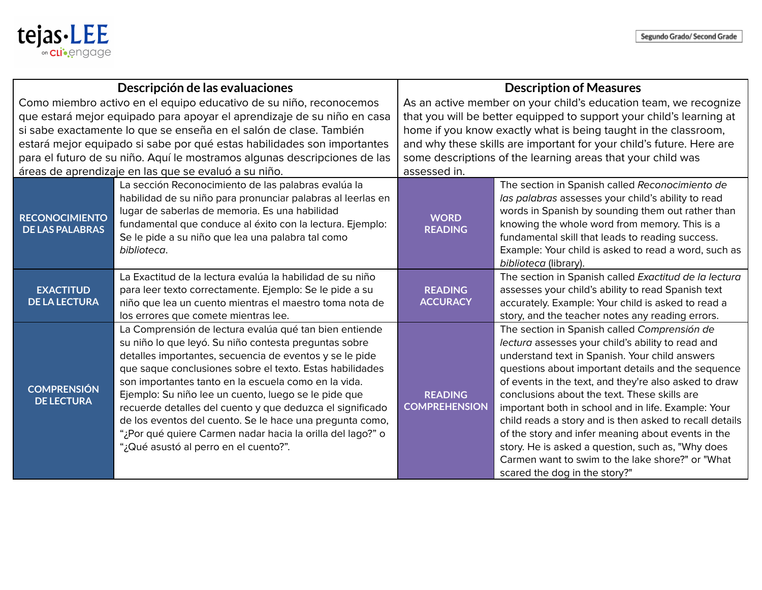

| Descripción de las evaluaciones                                                                                                                                                                                                                                                                                                                                                                                                     |                                                                                                                                                                                                                                                                                                                                                                                                                                                                                                                                                                                        | <b>Description of Measures</b>                                                                                                                                                                                                                                                                                                                                     |                                                                                                                                                                                                                                                                                                                                                                                                                                                                                                                                                                                                                                      |
|-------------------------------------------------------------------------------------------------------------------------------------------------------------------------------------------------------------------------------------------------------------------------------------------------------------------------------------------------------------------------------------------------------------------------------------|----------------------------------------------------------------------------------------------------------------------------------------------------------------------------------------------------------------------------------------------------------------------------------------------------------------------------------------------------------------------------------------------------------------------------------------------------------------------------------------------------------------------------------------------------------------------------------------|--------------------------------------------------------------------------------------------------------------------------------------------------------------------------------------------------------------------------------------------------------------------------------------------------------------------------------------------------------------------|--------------------------------------------------------------------------------------------------------------------------------------------------------------------------------------------------------------------------------------------------------------------------------------------------------------------------------------------------------------------------------------------------------------------------------------------------------------------------------------------------------------------------------------------------------------------------------------------------------------------------------------|
| Como miembro activo en el equipo educativo de su niño, reconocemos<br>que estará mejor equipado para apoyar el aprendizaje de su niño en casa<br>si sabe exactamente lo que se enseña en el salón de clase. También<br>estará mejor equipado si sabe por qué estas habilidades son importantes<br>para el futuro de su niño. Aquí le mostramos algunas descripciones de las<br>áreas de aprendizaje en las que se evaluó a su niño. |                                                                                                                                                                                                                                                                                                                                                                                                                                                                                                                                                                                        | As an active member on your child's education team, we recognize<br>that you will be better equipped to support your child's learning at<br>home if you know exactly what is being taught in the classroom,<br>and why these skills are important for your child's future. Here are<br>some descriptions of the learning areas that your child was<br>assessed in. |                                                                                                                                                                                                                                                                                                                                                                                                                                                                                                                                                                                                                                      |
| <b>RECONOCIMIENTO</b><br><b>DE LAS PALABRAS</b>                                                                                                                                                                                                                                                                                                                                                                                     | La sección Reconocimiento de las palabras evalúa la<br>habilidad de su niño para pronunciar palabras al leerlas en<br>lugar de saberlas de memoria. Es una habilidad<br>fundamental que conduce al éxito con la lectura. Ejemplo:<br>Se le pide a su niño que lea una palabra tal como<br>biblioteca.                                                                                                                                                                                                                                                                                  | <b>WORD</b><br><b>READING</b>                                                                                                                                                                                                                                                                                                                                      | The section in Spanish called Reconocimiento de<br>las palabras assesses your child's ability to read<br>words in Spanish by sounding them out rather than<br>knowing the whole word from memory. This is a<br>fundamental skill that leads to reading success.<br>Example: Your child is asked to read a word, such as<br>biblioteca (library).                                                                                                                                                                                                                                                                                     |
| <b>EXACTITUD</b><br><b>DE LA LECTURA</b>                                                                                                                                                                                                                                                                                                                                                                                            | La Exactitud de la lectura evalúa la habilidad de su niño<br>para leer texto correctamente. Ejemplo: Se le pide a su<br>niño que lea un cuento mientras el maestro toma nota de<br>los errores que comete mientras lee.                                                                                                                                                                                                                                                                                                                                                                | <b>READING</b><br><b>ACCURACY</b>                                                                                                                                                                                                                                                                                                                                  | The section in Spanish called Exactitud de la lectura<br>assesses your child's ability to read Spanish text<br>accurately. Example: Your child is asked to read a<br>story, and the teacher notes any reading errors.                                                                                                                                                                                                                                                                                                                                                                                                                |
| <b>COMPRENSIÓN</b><br><b>DE LECTURA</b>                                                                                                                                                                                                                                                                                                                                                                                             | La Comprensión de lectura evalúa qué tan bien entiende<br>su niño lo que leyó. Su niño contesta preguntas sobre<br>detalles importantes, secuencia de eventos y se le pide<br>que saque conclusiones sobre el texto. Estas habilidades<br>son importantes tanto en la escuela como en la vida.<br>Ejemplo: Su niño lee un cuento, luego se le pide que<br>recuerde detalles del cuento y que deduzca el significado<br>de los eventos del cuento. Se le hace una pregunta como,<br>"¿Por qué quiere Carmen nadar hacia la orilla del lago?" o<br>"¿Qué asustó al perro en el cuento?". | <b>READING</b><br><b>COMPREHENSION</b>                                                                                                                                                                                                                                                                                                                             | The section in Spanish called Comprensión de<br>lectura assesses your child's ability to read and<br>understand text in Spanish. Your child answers<br>questions about important details and the sequence<br>of events in the text, and they're also asked to draw<br>conclusions about the text. These skills are<br>important both in school and in life. Example: Your<br>child reads a story and is then asked to recall details<br>of the story and infer meaning about events in the<br>story. He is asked a question, such as, "Why does<br>Carmen want to swim to the lake shore?" or "What<br>scared the dog in the story?" |